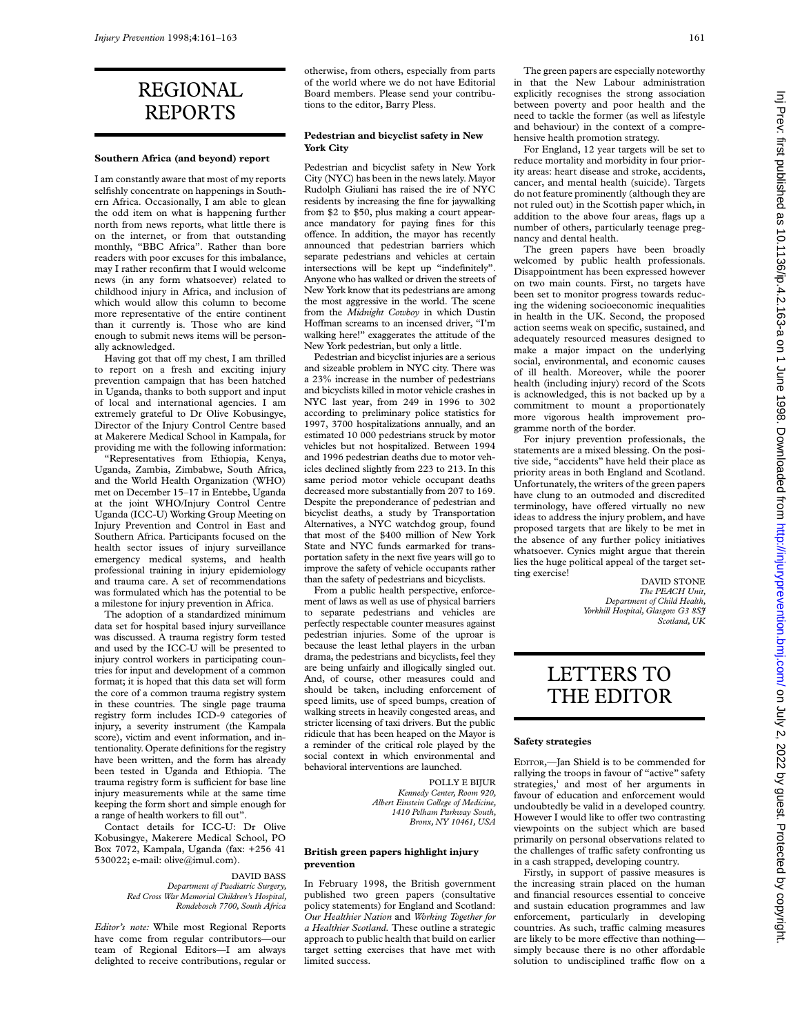# REGIONAL REPORTS

#### **Southern Africa (and beyond) report**

I am constantly aware that most of my reports selfishly concentrate on happenings in Southern Africa. Occasionally, I am able to glean the odd item on what is happening further north from news reports, what little there is on the internet, or from that outstanding monthly, "BBC Africa". Rather than bore readers with poor excuses for this imbalance, may I rather reconfirm that I would welcome news (in any form whatsoever) related to childhood injury in Africa, and inclusion of which would allow this column to become more representative of the entire continent than it currently is. Those who are kind enough to submit news items will be personally acknowledged.

Having got that off my chest, I am thrilled to report on a fresh and exciting injury prevention campaign that has been hatched in Uganda, thanks to both support and input of local and international agencies. I am extremely grateful to Dr Olive Kobusingye, Director of the Injury Control Centre based at Makerere Medical School in Kampala, for providing me with the following information:

"Representatives from Ethiopia, Kenya, Uganda, Zambia, Zimbabwe, South Africa, and the World Health Organization (WHO) met on December 15–17 in Entebbe, Uganda at the joint WHO/Injury Control Centre Uganda (ICC-U) Working Group Meeting on Injury Prevention and Control in East and Southern Africa. Participants focused on the health sector issues of injury surveillance emergency medical systems, and health professional training in injury epidemiology and trauma care. A set of recommendations was formulated which has the potential to be a milestone for injury prevention in Africa.

The adoption of a standardized minimum data set for hospital based injury surveillance was discussed. A trauma registry form tested and used by the ICC-U will be presented to injury control workers in participating countries for input and development of a common format; it is hoped that this data set will form the core of a common trauma registry system in these countries. The single page trauma registry form includes ICD-9 categories of injury, a severity instrument (the Kampala score), victim and event information, and intentionality. Operate definitions for the registry have been written, and the form has already been tested in Uganda and Ethiopia. The trauma registry form is sufficient for base line injury measurements while at the same time keeping the form short and simple enough for a range of health workers to fill out".

Contact details for ICC-U: Dr Olive Kobusingye, Makerere Medical School, PO Box 7072, Kampala, Uganda (fax: +256 41 530022; e-mail: olive@imul.com).

#### DAVID BASS *Department of Paediatric Surgery, Red Cross War Memorial Children's Hospital, Rondebosch 7700, South Africa*

*Editor's note:* While most Regional Reports have come from regular contributors—our team of Regional Editors—I am always delighted to receive contributions, regular or otherwise, from others, especially from parts of the world where we do not have Editorial Board members. Please send your contributions to the editor, Barry Pless.

## **Pedestrian and bicyclist safety in New York City**

Pedestrian and bicyclist safety in New York City (NYC) has been in the news lately.Mayor Rudolph Giuliani has raised the ire of NYC residents by increasing the fine for jaywalking from \$2 to \$50, plus making a court appearance mandatory for paying fines for this offence. In addition, the mayor has recently announced that pedestrian barriers which separate pedestrians and vehicles at certain intersections will be kept up "indefinitely". Anyone who has walked or driven the streets of New York know that its pedestrians are among the most aggressive in the world. The scene from the *Midnight Cowboy* in which Dustin Hoffman screams to an incensed driver, "I'm walking here!" exaggerates the attitude of the New York pedestrian, but only a little.

Pedestrian and bicyclist injuries are a serious and sizeable problem in NYC city. There was a 23% increase in the number of pedestrians and bicyclists killed in motor vehicle crashes in NYC last year, from 249 in 1996 to 302 according to preliminary police statistics for 1997, 3700 hospitalizations annually, and an estimated 10 000 pedestrians struck by motor vehicles but not hospitalized. Between 1994 and 1996 pedestrian deaths due to motor vehicles declined slightly from 223 to 213. In this same period motor vehicle occupant deaths decreased more substantially from 207 to 169. Despite the preponderance of pedestrian and bicyclist deaths, a study by Transportation Alternatives, a NYC watchdog group, found that most of the \$400 million of New York State and NYC funds earmarked for transportation safety in the next five years will go to improve the safety of vehicle occupants rather than the safety of pedestrians and bicyclists.

From a public health perspective, enforcement of laws as well as use of physical barriers to separate pedestrians and vehicles are perfectly respectable counter measures against pedestrian injuries. Some of the uproar is because the least lethal players in the urban drama, the pedestrians and bicyclists, feel they are being unfairly and illogically singled out. And, of course, other measures could and should be taken, including enforcement of speed limits, use of speed bumps, creation of walking streets in heavily congested areas, and stricter licensing of taxi drivers. But the public ridicule that has been heaped on the Mayor is a reminder of the critical role played by the social context in which environmental and behavioral interventions are launched.

> POLLY E BIJUR *Kennedy Center, Room 920, Albert Einstein College of Medicine, 1410 Pelham Parkway South, Bronx, NY 10461, USA*

### **British green papers highlight injury prevention**

In February 1998, the British government published two green papers (consultative policy statements) for England and Scotland: *Our Healthier Nation* and *Working Together for a Healthier Scotland.* These outline a strategic approach to public health that build on earlier target setting exercises that have met with limited success.

The green papers are especially noteworthy in that the New Labour administration explicitly recognises the strong association between poverty and poor health and the need to tackle the former (as well as lifestyle and behaviour) in the context of a comprehensive health promotion strategy.

For England, 12 year targets will be set to reduce mortality and morbidity in four priority areas: heart disease and stroke, accidents, cancer, and mental health (suicide). Targets do not feature prominently (although they are not ruled out) in the Scottish paper which, in addition to the above four areas, flags up a number of others, particularly teenage pregnancy and dental health.

The green papers have been broadly welcomed by public health professionals. Disappointment has been expressed however on two main counts. First, no targets have been set to monitor progress towards reducing the widening socioeconomic inequalities in health in the UK. Second, the proposed action seems weak on specific, sustained, and adequately resourced measures designed to make a major impact on the underlying social, environmental, and economic causes of ill health. Moreover, while the poorer health (including injury) record of the Scots is acknowledged, this is not backed up by a commitment to mount a proportionately more vigorous health improvement programme north of the border.

For injury prevention professionals, the statements are a mixed blessing. On the positive side, "accidents" have held their place as priority areas in both England and Scotland. Unfortunately, the writers of the green papers have clung to an outmoded and discredited terminology, have offered virtually no new ideas to address the injury problem, and have proposed targets that are likely to be met in the absence of any further policy initiatives whatsoever. Cynics might argue that therein lies the huge political appeal of the target setting exercise!

DAVID STONE *The PEACH Unit, Department of Child Health, Yorkhill Hospital, Glasgow G3 8SJ Scotland, UK*

# LETTERS TO THE EDITOR

#### **Safety strategies**

EDITOR,—Jan Shield is to be commended for rallying the troops in favour of "active" safety strategies,<sup>1</sup> and most of her arguments in favour of education and enforcement would undoubtedly be valid in a developed country. However I would like to offer two contrasting viewpoints on the subject which are based primarily on personal observations related to the challenges of traffic safety confronting us in a cash strapped, developing country.

Firstly, in support of passive measures is the increasing strain placed on the human and financial resources essential to conceive and sustain education programmes and law enforcement, particularly in developing countries. As such, traffic calming measures are likely to be more effective than nothing simply because there is no other affordable solution to undisciplined traffic flow on a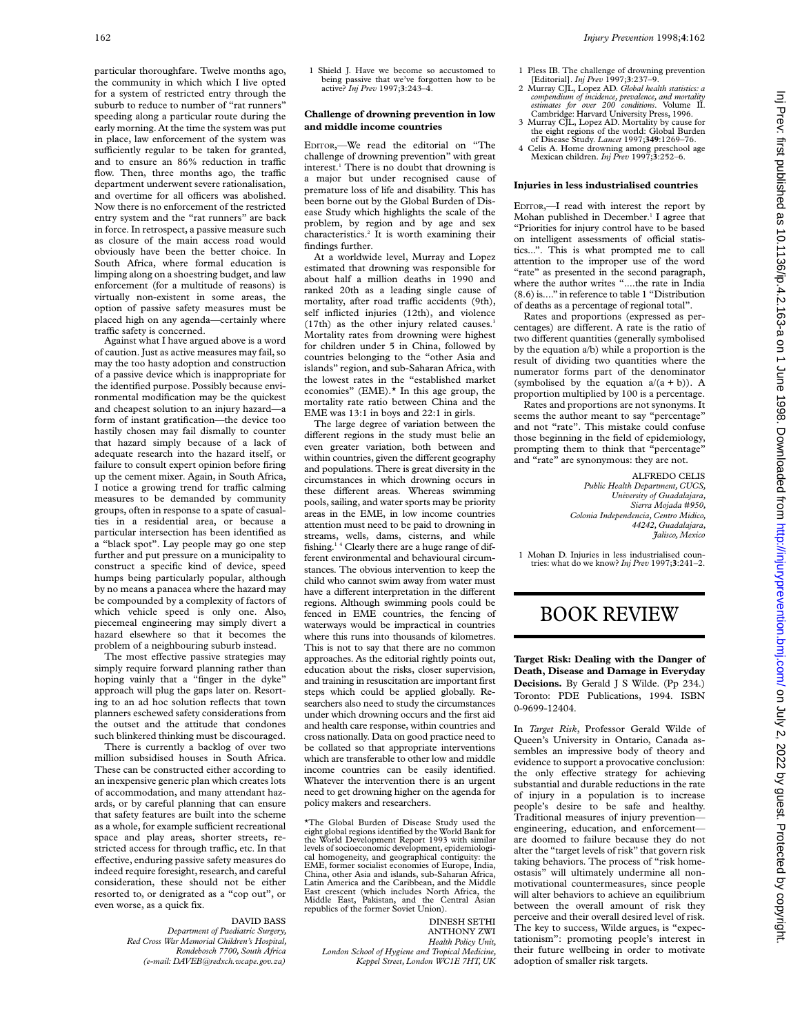particular thoroughfare. Twelve months ago, the community in which which I live opted for a system of restricted entry through the suburb to reduce to number of "rat runners" speeding along a particular route during the early morning. At the time the system was put in place, law enforcement of the system was sufficiently regular to be taken for granted, and to ensure an  $86\%$  reduction in traffic flow. Then, three months ago, the traffic department underwent severe rationalisation, and overtime for all officers was abolished. Now there is no enforcement of the restricted entry system and the "rat runners" are back in force. In retrospect, a passive measure such as closure of the main access road would obviously have been the better choice. In South Africa, where formal education is limping along on a shoestring budget, and law enforcement (for a multitude of reasons) is virtually non-existent in some areas, the option of passive safety measures must be placed high on any agenda—certainly where traffic safety is concerned.

Against what I have argued above is a word of caution. Just as active measures may fail, so may the too hasty adoption and construction of a passive device which is inappropriate for the identified purpose. Possibly because environmental modification may be the quickest and cheapest solution to an injury hazard—a form of instant gratification—the device too hastily chosen may fail dismally to counter that hazard simply because of a lack of adequate research into the hazard itself, or failure to consult expert opinion before firing up the cement mixer. Again, in South Africa, I notice a growing trend for traffic calming measures to be demanded by community groups, often in response to a spate of casualties in a residential area, or because a particular intersection has been identified as a "black spot". Lay people may go one step further and put pressure on a municipality to construct a specific kind of device, speed humps being particularly popular, although by no means a panacea where the hazard may be compounded by a complexity of factors of which vehicle speed is only one. Also, piecemeal engineering may simply divert a hazard elsewhere so that it becomes the problem of a neighbouring suburb instead.

The most effective passive strategies may simply require forward planning rather than hoping vainly that a "finger in the dyke" approach will plug the gaps later on. Resorting to an ad hoc solution reflects that town planners eschewed safety considerations from the outset and the attitude that condones such blinkered thinking must be discouraged.

There is currently a backlog of over two million subsidised houses in South Africa. These can be constructed either according to an inexpensive generic plan which creates lots of accommodation, and many attendant hazards, or by careful planning that can ensure that safety features are built into the scheme as a whole, for example sufficient recreational space and play areas, shorter streets, restricted access for through traffic, etc. In that effective, enduring passive safety measures do indeed require foresight, research, and careful consideration, these should not be either resorted to, or denigrated as a "cop out", or even worse, as a quick fix.

#### DAVID BASS

*Department of Paediatric Surgery, Red Cross War Memorial Children's Hospital, Rondebosch 7700, South Africa (e-mail: DAVEB@redxch.wcape.gov.za)*

1. Shield J. Have we become so accustomed to being passive that we've forgotten how to be active? *Inj Prev* 1997;**3**:243–4.

## **Challenge of drowning prevention in low and middle income countries**

EDITOR,—We read the editorial on "The challenge of drowning prevention" with great interest.<sup>1</sup> There is no doubt that drowning is a major but under recognised cause of premature loss of life and disability. This has been borne out by the Global Burden of Disease Study which highlights the scale of the problem, by region and by age and sex characteristics.2 It is worth examining their findings further.

At a worldwide level, Murray and Lopez estimated that drowning was responsible for about half a million deaths in 1990 and ranked 20th as a leading single cause of mortality, after road traffic accidents (9th), self inflicted injuries (12th), and violence (17th) as the other injury related causes.<sup>3</sup> Mortality rates from drowning were highest for children under 5 in China, followed by countries belonging to the "other Asia and islands" region, and sub-Saharan Africa, with the lowest rates in the "established market economies" (EME).\* In this age group, the mortality rate ratio between China and the EME was 13:1 in boys and 22:1 in girls.

The large degree of variation between the different regions in the study must belie an even greater variation, both between and within countries, given the different geography and populations. There is great diversity in the circumstances in which drowning occurs in these different areas. Whereas swimming pools, sailing, and water sports may be priority areas in the EME, in low income countries attention must need to be paid to drowning in streams, wells, dams, cisterns, and while fishing.1 4 Clearly there are a huge range of different environmental and behavioural circumstances. The obvious intervention to keep the child who cannot swim away from water must have a different interpretation in the different regions. Although swimming pools could be fenced in EME countries, the fencing of waterways would be impractical in countries where this runs into thousands of kilometres. This is not to say that there are no common approaches. As the editorial rightly points out, education about the risks, closer supervision, and training in resuscitation are important first steps which could be applied globally. Researchers also need to study the circumstances under which drowning occurs and the first aid and health care response, within countries and cross nationally. Data on good practice need to be collated so that appropriate interventions which are transferable to other low and middle income countries can be easily identified. Whatever the intervention there is an urgent need to get drowning higher on the agenda for policy makers and researchers.

\*The Global Burden of Disease Study used the eight global regions identified by the World Bank for the World Development Report 1993 with similar levels of socioeconomic development, epidemiological homogeneity, and geographical contiguity: the EME, former socialist economies of Europe, India, China, other Asia and islands, sub-Saharan Africa, Latin America and the Caribbean, and the Middle East crescent (which includes North Africa, the Middle East, Pakistan, and the Central Asian republics of the former Soviet Union).

DINESH SETHI ANTHONY ZWI *Health Policy Unit, London School of Hygiene and Tropical Medicine, Keppel Street, London WC1E 7HT, UK*

- 1 Pless IB. The challenge of drowning prevention [Editorial]. *Inj Prev* 1997;**3**:237–9.
- 2 Murray CJL, Lopez AD. *Global health statistics: a compendium of incidence, prevalence, and mortality estimates for over 200 conditions*. Volume II. Cambridge: Harvard University Press, 1996.
- 3 Murray CJL, Lopez AD. Mortality by cause for the eight regions of the world: Global Burden of Disease Study. *Lancet* 1997;**349**:1269–76.
- 4 Celis A. Home drowning among preschool age Mexican children. *Inj Prev* 1997;**3**:252–6.

#### **Injuries in less industrialised countries**

EDITOR,—I read with interest the report by Mohan published in December.<sup>1</sup> I agree that "Priorities for injury control have to be based on intelligent assessments of official statistics...". This is what prompted me to call attention to the improper use of the word "rate" as presented in the second paragraph, where the author writes "....the rate in India (8.6) is...." in reference to table 1 "Distribution of deaths as a percentage of regional total".

Rates and proportions (expressed as percentages) are different. A rate is the ratio of two different quantities (generally symbolised by the equation a/b) while a proportion is the result of dividing two quantities where the numerator forms part of the denominator (symbolised by the equation  $a/(a + b)$ ). A proportion multiplied by 100 is a percentage.

Rates and proportions are not synonyms. It seems the author meant to say "percentage" and not "rate". This mistake could confuse those beginning in the field of epidemiology, prompting them to think that "percentage" and "rate" are synonymous: they are not.

> ALFREDO CELIS *Public Health Department, CUCS, University of Guadalajara, Sierra Mojada #950, Colonia Independencia, Centro Midico, 44242, Guadalajara, Jalisco, Mexico*

1 Mohan D. Injuries in less industrialised countries: what do we know? *Inj Prev* 1997;**3**:241–2.

# BOOK REVIEW

**Target Risk: Dealing with the Danger of Death, Disease and Damage in Everyday Decisions.** By Gerald J S Wilde. (Pp 234.) Toronto: PDE Publications, 1994. ISBN 0-9699-12404.

In *Target Risk*, Professor Gerald Wilde of Queen's University in Ontario, Canada assembles an impressive body of theory and evidence to support a provocative conclusion: the only effective strategy for achieving substantial and durable reductions in the rate of injury in a population is to increase people's desire to be safe and healthy. Traditional measures of injury prevention engineering, education, and enforcement are doomed to failure because they do not alter the "target levels of risk" that govern risk taking behaviors. The process of "risk homeostasis" will ultimately undermine all nonmotivational countermeasures, since people will alter behaviors to achieve an equilibrium between the overall amount of risk they perceive and their overall desired level of risk. The key to success, Wilde argues, is "expectationism": promoting people's interest in their future wellbeing in order to motivate adoption of smaller risk targets.